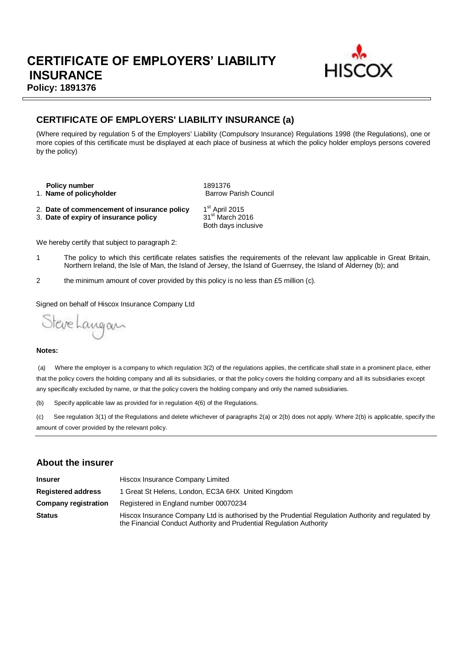

### **CERTIFICATE OF EMPLOYERS' LIABILITY INSURANCE (a)**

(Where required by regulation 5 of the Employers' Liability (Compulsory Insurance) Regulations 1998 (the Regulations), one or more copies of this certificate must be displayed at each place of business at which the policy holder employs persons covered by the policy)

**Policy number** 1891376 1. **Name of policyholder Barrow Parish Council Barrow Parish Council** 

- 2. **Date of commencement of insurance policy** 1<sup>st</sup> April 2015<br>3. **Date of expiry of insurance policy** 31<sup>st</sup> March 2016
- 3. Date of expiry of insurance policy

1st April 2015 Both days inclusive

We hereby certify that subject to paragraph 2:

- 1 The policy to which this certificate relates satisfies the requirements of the relevant law applicable in Great Britain, Northern Ireland, the Isle of Man, the Island of Jersey, the Island of Guernsey, the Island of Alderney (b); and
- 2 the minimum amount of cover provided by this policy is no less than £5 million (c).

Signed on behalf of Hiscox Insurance Company Ltd

Steve Langan

#### **Notes:**

(a) Where the employer is a company to which regulation 3(2) of the regulations applies, the certificate shall state in a prominent place, either that the policy covers the holding company and all its subsidiaries, or that the policy covers the holding company and all its subsidiaries except any specifically excluded by name, or that the policy covers the holding company and only the named subsidiaries.

(b) Specify applicable law as provided for in regulation 4(6) of the Regulations.

(c) See regulation 3(1) of the Regulations and delete whichever of paragraphs 2(a) or 2(b) does not apply. Where 2(b) is applicable, specify the amount of cover provided by the relevant policy.

### **About the insurer**

| <b>Insurer</b>              | Hiscox Insurance Company Limited                                                                                                                                          |  |  |  |
|-----------------------------|---------------------------------------------------------------------------------------------------------------------------------------------------------------------------|--|--|--|
| <b>Registered address</b>   | 1 Great St Helens, London, EC3A 6HX United Kingdom                                                                                                                        |  |  |  |
| <b>Company registration</b> | Registered in England number 00070234                                                                                                                                     |  |  |  |
| <b>Status</b>               | Hiscox Insurance Company Ltd is authorised by the Prudential Regulation Authority and regulated by<br>the Financial Conduct Authority and Prudential Regulation Authority |  |  |  |